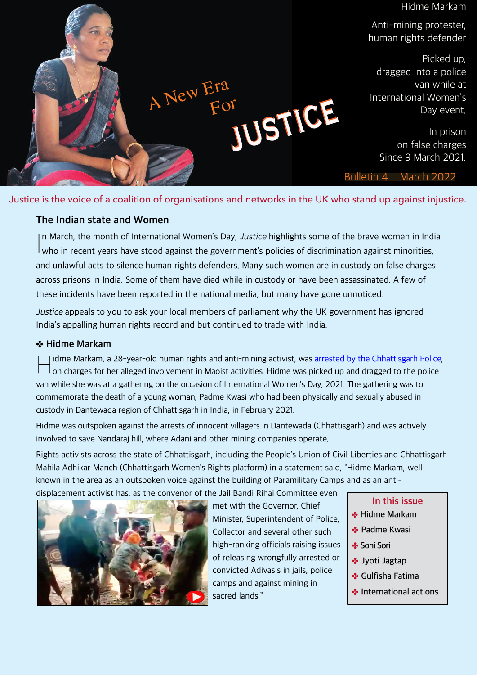

Justice is the voice of a coalition of organisations and networks in the UK who stand up against injustice.

# **The Indian state and Women**

In March, the month of International Women's Day, Justice highlights some of the brave women in Ind<br>who in recent years have stood against the government's policies of discrimination against minorities, In March, the month of International Women's Day, Justice highlights some of the brave women in India and unlawful acts to silence human rights defenders. Many such women are in custody on false charges across prisons in India. Some of them have died while in custody or have been assassinated. A few of these incidents have been reported in the national media, but many have gone unnoticed.

Justice appeals to you to ask your local members of parliament why the UK government has ignored India's appalling human rights record and but continued to trade with India.

# ✤ **Hidme Markam**

 $\mathbb{H}$ I idme Markam, a 28-year-old human rights and anti-mining activist, was [arrested by the Chhattisgarh Police,](https://www.article-14.com/post/why-hidme-markam-a-voice-for-adivasis-is-in-prison) on charges for her alleged involvement in Maoist activities. Hidme was picked up and dragged to the police van while she was at a gathering on the occasion of International Women's Day, 2021. The gathering was to commemorate the death of a young woman, Padme Kwasi who had been physically and sexually abused in custody in Dantewada region of Chhattisgarh in India, in February 2021.

Hidme was outspoken against the arrests of innocent villagers in Dantewada (Chhattisgarh) and was actively involved to save Nandaraj hill, where Adani and other mining companies operate.

Rights activists across the state of Chhattisgarh, including the People's Union of Civil Liberties and Chhattisgarh Mahila Adhikar Manch (Chhattisgarh Women's Rights platform) in a statement said, "Hidme Markam, well known in the area as an outspoken voice against the building of Paramilitary Camps and as an antidisplacement activist has, as the convenor of the Jail Bandi Rihai Committee even



met with the Governor, Chief Minister, Superintendent of Police, Collector and several other such high-ranking officials raising issues of releasing wrongfully arrested or convicted Adivasis in jails, police camps and against mining in sacred lands."

- **In this issue**
- ✤ **Hidme Markam**
- ✤ **Padme Kwasi**
- ✤ **Soni Sori**
- ✤ **Jyoti Jagtap**
- ✤ **Gulfisha Fatima**
- ✤ **International actions**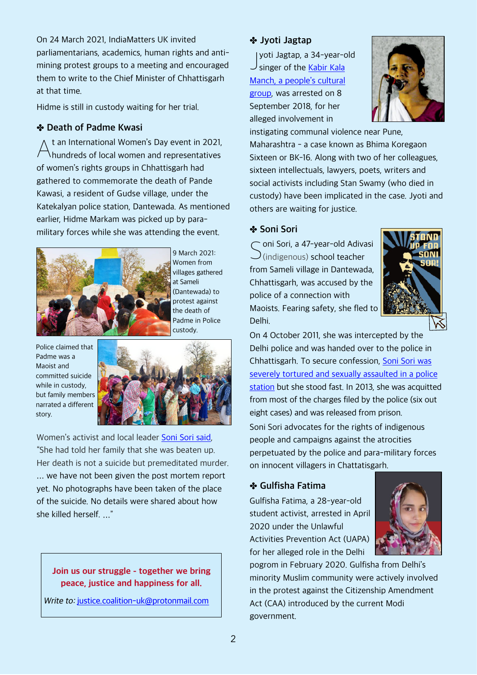On 24 March 2021, IndiaMatters UK invited parliamentarians, academics, human rights and antimining protest groups to a meeting and encouraged them to write to the Chief Minister of Chhattisgarh at that time.

Hidme is still in custody waiting for her trial.

#### ✤ **Death of Padme Kwasi**

A t an International Women's Day event in 2021, hundreds of local women and representatives of women's rights groups in Chhattisgarh had gathered to commemorate the death of Pande Kawasi, a resident of Gudse village, under the Katekalyan police station, Dantewada. As mentioned earlier, Hidme Markam was picked up by paramilitary forces while she was attending the event.



9 March 2021: Women from villages gathered at Sameli (Dantewada) to protest against the death of Padme in Police custody.

Police claimed that Padme was a Maoist and committed suicide while in custody, but family members narrated a different story.



Women's activist and local leader [Soni Sori said](https://indianexpress.com/article/india/chhattisgarh-day-after-body-found-tribal-activists-family-refuses-to-take-it-7203536/lite/), "She had told her family that she was beaten up. Her death is not a suicide but premeditated murder. … we have not been given the post mortem report yet. No photographs have been taken of the place of the suicide. No details were shared about how she killed herself. …"

### **Join us our struggle - together we bring peace, justice and happiness for all.**

Write to: [justice.coalition-uk@protonmail.com](mailto:justice.coalition-uk@protonmail.com)

# ✤ **Jyoti Jagtap**

yoti Jagtap, a 34-year-<br>Singer of the [Kabir Kala](https://www.article-14.com/post/the-young-woman-who-would-not-cry) yoti Jagtap, a 34-year-old [Manch, a people's cultural](https://www.article-14.com/post/the-young-woman-who-would-not-cry) [group,](https://www.article-14.com/post/the-young-woman-who-would-not-cry) was arrested on 8 September 2018, for her alleged involvement in



instigating communal violence near Pune, Maharashtra - a case known as Bhima Koregaon Sixteen or BK-16. Along with two of her colleagues, sixteen intellectuals, lawyers, poets, writers and social activists including Stan Swamy (who died in custody) have been implicated in the case. Jyoti and others are waiting for justice.

## ✤ **Soni Sori**

Sori, a 47-year-old Adiven<br>Simaligenous) school teacher oni Sori, a 47-year-old Adivasi from Sameli village in Dantewada, Chhattisgarh, was accused by the police of a connection with Maoists. Fearing safety, she fled to Delhi.



On 4 October 2011, she was intercepted by the Delhi police and was handed over to the police in Chhattisgarh. To secure confession, [Soni Sori was](https://www.frontlinedefenders.org/en/case/case-history-soni-sori) [severely tortured and sexually assaulted in a police](https://www.frontlinedefenders.org/en/case/case-history-soni-sori) [station](https://www.frontlinedefenders.org/en/case/case-history-soni-sori) but she stood fast. In 2013, she was acquitted from most of the charges filed by the police (six out eight cases) and was released from prison. Soni Sori advocates for the rights of indigenous people and campaigns against the atrocities perpetuated by the police and para-military forces on innocent villagers in Chattatisgarh.

### ✤ **Gulfisha Fatima**

Gulfisha Fatima, a 28-year-old student activist, arrested in April 2020 under the Unlawful Activities Prevention Act (UAPA) for her alleged role in the Delhi



pogrom in February 2020. Gulfisha from Delhi's minority Muslim community were actively involved in the protest against the Citizenship Amendment Act (CAA) introduced by the current Modi government.